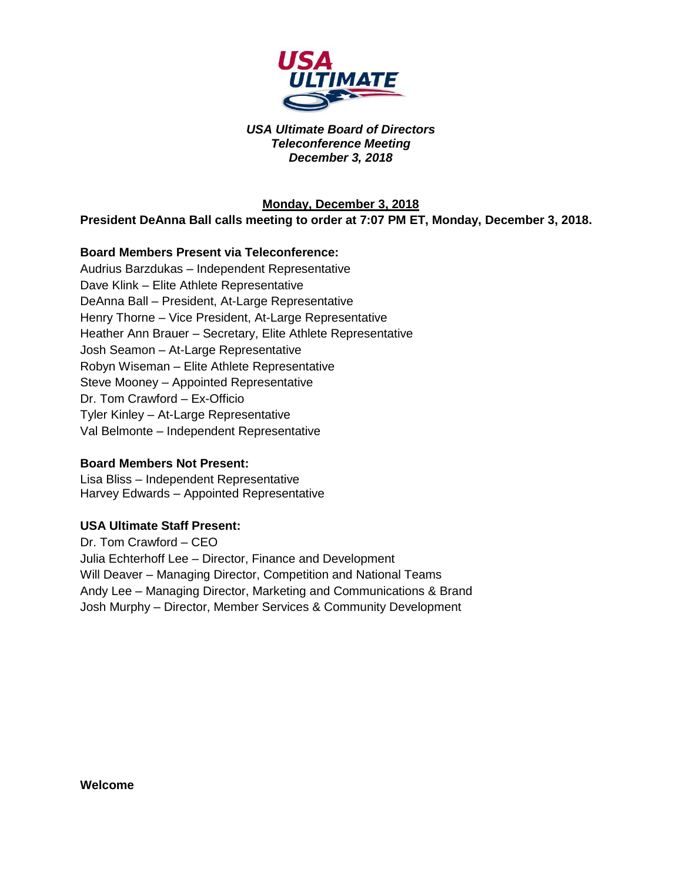

**Monday, December 3, 2018 President DeAnna Ball calls meeting to order at 7:07 PM ET, Monday, December 3, 2018.** 

### **Board Members Present via Teleconference:**

Audrius Barzdukas – Independent Representative Dave Klink – Elite Athlete Representative DeAnna Ball – President, At-Large Representative Henry Thorne – Vice President, At-Large Representative Heather Ann Brauer – Secretary, Elite Athlete Representative Josh Seamon – At-Large Representative Robyn Wiseman – Elite Athlete Representative Steve Mooney – Appointed Representative Dr. Tom Crawford – Ex-Officio Tyler Kinley – At-Large Representative Val Belmonte – Independent Representative

### **Board Members Not Present:**

Lisa Bliss – Independent Representative Harvey Edwards – Appointed Representative

### **USA Ultimate Staff Present:**

Dr. Tom Crawford – CEO Julia Echterhoff Lee – Director, Finance and Development Will Deaver – Managing Director, Competition and National Teams Andy Lee – Managing Director, Marketing and Communications & Brand Josh Murphy – Director, Member Services & Community Development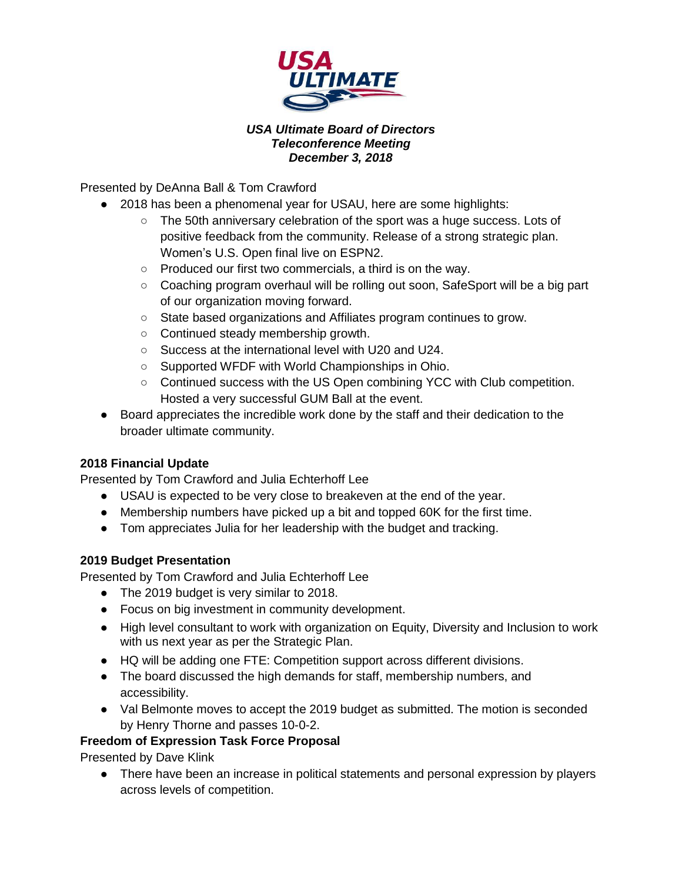

Presented by DeAnna Ball & Tom Crawford

- 2018 has been a phenomenal year for USAU, here are some highlights:
	- The 50th anniversary celebration of the sport was a huge success. Lots of positive feedback from the community. Release of a strong strategic plan. Women's U.S. Open final live on ESPN2.
	- Produced our first two commercials, a third is on the way.
	- Coaching program overhaul will be rolling out soon, SafeSport will be a big part of our organization moving forward.
	- State based organizations and Affiliates program continues to grow.
	- Continued steady membership growth.
	- Success at the international level with U20 and U24.
	- Supported WFDF with World Championships in Ohio.
	- Continued success with the US Open combining YCC with Club competition. Hosted a very successful GUM Ball at the event.
- Board appreciates the incredible work done by the staff and their dedication to the broader ultimate community.

# **2018 Financial Update**

Presented by Tom Crawford and Julia Echterhoff Lee

- USAU is expected to be very close to breakeven at the end of the year.
- Membership numbers have picked up a bit and topped 60K for the first time.
- Tom appreciates Julia for her leadership with the budget and tracking.

# **2019 Budget Presentation**

Presented by Tom Crawford and Julia Echterhoff Lee

- The 2019 budget is very similar to 2018.
- Focus on big investment in community development.
- High level consultant to work with organization on Equity, Diversity and Inclusion to work with us next year as per the Strategic Plan.
- HQ will be adding one FTE: Competition support across different divisions.
- The board discussed the high demands for staff, membership numbers, and accessibility.
- Val Belmonte moves to accept the 2019 budget as submitted. The motion is seconded by Henry Thorne and passes 10-0-2.

## **Freedom of Expression Task Force Proposal**

Presented by Dave Klink

• There have been an increase in political statements and personal expression by players across levels of competition.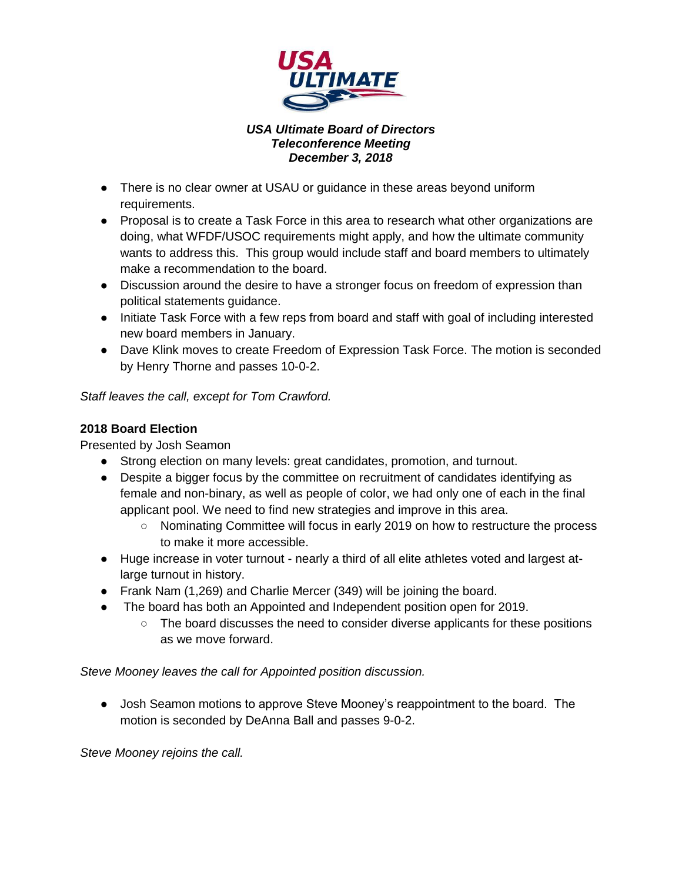

- There is no clear owner at USAU or quidance in these areas beyond uniform requirements.
- Proposal is to create a Task Force in this area to research what other organizations are doing, what WFDF/USOC requirements might apply, and how the ultimate community wants to address this. This group would include staff and board members to ultimately make a recommendation to the board.
- Discussion around the desire to have a stronger focus on freedom of expression than political statements guidance.
- Initiate Task Force with a few reps from board and staff with goal of including interested new board members in January.
- Dave Klink moves to create Freedom of Expression Task Force. The motion is seconded by Henry Thorne and passes 10-0-2.

*Staff leaves the call, except for Tom Crawford.*

# **2018 Board Election**

Presented by Josh Seamon

- Strong election on many levels: great candidates, promotion, and turnout.
- Despite a bigger focus by the committee on recruitment of candidates identifying as female and non-binary, as well as people of color, we had only one of each in the final applicant pool. We need to find new strategies and improve in this area.
	- Nominating Committee will focus in early 2019 on how to restructure the process to make it more accessible.
- Huge increase in voter turnout nearly a third of all elite athletes voted and largest atlarge turnout in history.
- Frank Nam (1,269) and Charlie Mercer (349) will be joining the board.
- The board has both an Appointed and Independent position open for 2019.
	- The board discusses the need to consider diverse applicants for these positions as we move forward.

*Steve Mooney leaves the call for Appointed position discussion.*

● Josh Seamon motions to approve Steve Mooney's reappointment to the board. The motion is seconded by DeAnna Ball and passes 9-0-2.

*Steve Mooney rejoins the call.*